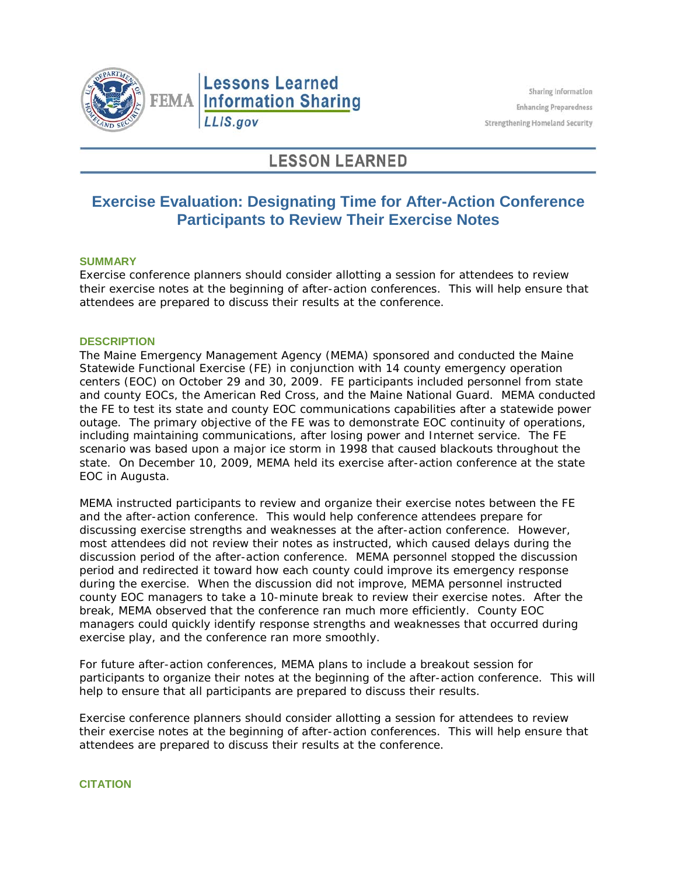

# **LESSON LEARNED**

# **Exercise Evaluation: Designating Time for After-Action Conference Participants to Review Their Exercise Notes**

## **SUMMARY**

Exercise conference planners should consider allotting a session for attendees to review their exercise notes at the beginning of after-action conferences. This will help ensure that attendees are prepared to discuss their results at the conference.

#### **DESCRIPTION**

The Maine Emergency Management Agency (MEMA) sponsored and conducted the Maine Statewide Functional Exercise (FE) in conjunction with 14 county emergency operation centers (EOC) on October 29 and 30, 2009. FE participants included personnel from state and county EOCs, the American Red Cross, and the Maine National Guard. MEMA conducted the FE to test its state and county EOC communications capabilities after a statewide power outage. The primary objective of the FE was to demonstrate EOC continuity of operations, including maintaining communications, after losing power and Internet service. The FE scenario was based upon a major ice storm in 1998 that caused blackouts throughout the state. On December 10, 2009, MEMA held its exercise after-action conference at the state EOC in Augusta.

MEMA instructed participants to review and organize their exercise notes between the FE and the after-action conference. This would help conference attendees prepare for discussing exercise strengths and weaknesses at the after-action conference. However, most attendees did not review their notes as instructed, which caused delays during the discussion period of the after-action conference. MEMA personnel stopped the discussion period and redirected it toward how each county could improve its emergency response during the exercise. When the discussion did not improve, MEMA personnel instructed county EOC managers to take a 10-minute break to review their exercise notes. After the break, MEMA observed that the conference ran much more efficiently. County EOC managers could quickly identify response strengths and weaknesses that occurred during exercise play, and the conference ran more smoothly.

For future after-action conferences, MEMA plans to include a breakout session for participants to organize their notes at the beginning of the after-action conference. This will help to ensure that all participants are prepared to discuss their results.

Exercise conference planners should consider allotting a session for attendees to review their exercise notes at the beginning of after-action conferences. This will help ensure that attendees are prepared to discuss their results at the conference.

# **CITATION**